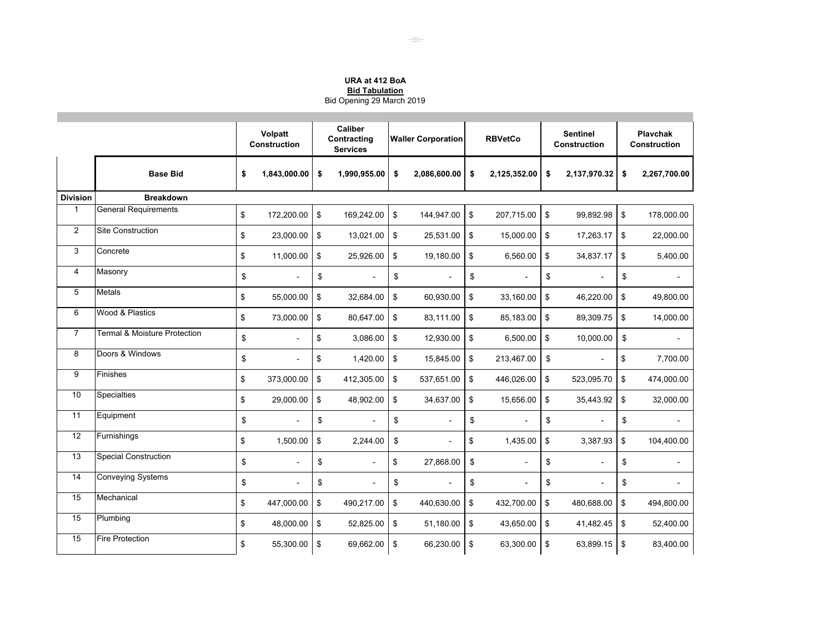## **URA at 412 BoABid Tabulation** Bid Opening 29 March 2019

|                 |                              | Volpatt<br>Construction |                | Caliber<br>Contracting<br><b>Services</b> |                | <b>Waller Corporation</b> |              | <b>RBVetCo</b>            |                | <b>Sentinel</b><br><b>Construction</b> |                | <b>Playchak</b><br><b>Construction</b> |                |
|-----------------|------------------------------|-------------------------|----------------|-------------------------------------------|----------------|---------------------------|--------------|---------------------------|----------------|----------------------------------------|----------------|----------------------------------------|----------------|
|                 | <b>Base Bid</b>              | \$                      | 1,843,000.00   | \$                                        | 1,990,955.00   | \$                        | 2,086,600.00 | \$                        | 2,125,352.00   | \$                                     | 2,137,970.32   | \$                                     | 2,267,700.00   |
| <b>Division</b> | <b>Breakdown</b>             |                         |                |                                           |                |                           |              |                           |                |                                        |                |                                        |                |
| $\mathbf{1}$    | <b>General Requirements</b>  | \$                      | 172,200.00     | \$                                        | 169,242.00     | \$                        | 144.947.00   | \$                        | 207.715.00     | \$                                     | 99,892.98      | \$                                     | 178,000.00     |
| 2               | Site Construction            | \$                      | 23,000.00      | \$                                        | 13,021.00      | \$                        | 25,531.00    | $\boldsymbol{\mathsf{s}}$ | 15,000.00      | $\boldsymbol{\mathsf{s}}$              | 17,263.17      | \$                                     | 22,000.00      |
| 3               | Concrete                     | \$                      | 11,000.00      | \$                                        | 25,926.00      | \$                        | 19,180.00    | \$                        | 6,560.00       | \$                                     | 34,837.17      | \$                                     | 5,400.00       |
| $\overline{4}$  | Masonry                      | \$                      | $\overline{a}$ | \$                                        | $\overline{a}$ | \$                        |              | \$                        |                | \$                                     |                | \$                                     |                |
| 5               | Metals                       | \$                      | 55,000.00      | \$                                        | 32,684.00      | \$                        | 60,930.00    | \$                        | 33,160.00      | \$                                     | 46,220.00      | \$                                     | 49,800.00      |
| 6               | Wood & Plastics              | \$                      | 73,000.00      | \$                                        | 80,647.00      | \$                        | 83,111.00    | $\boldsymbol{\$}$         | 85,183.00      | \$                                     | 89,309.75      | \$                                     | 14,000.00      |
| $\overline{7}$  | Termal & Moisture Protection | \$                      | $\overline{a}$ | \$                                        | 3,086.00       | \$                        | 12,930.00    | \$                        | 6,500.00       | \$                                     | 10,000.00      | \$                                     |                |
| 8               | Doors & Windows              | \$                      | ÷,             | \$                                        | 1,420.00       | \$                        | 15,845.00    | $\boldsymbol{\mathsf{s}}$ | 213,467.00     | \$                                     |                | \$                                     | 7,700.00       |
| 9               | Finishes                     | \$                      | 373,000.00     | \$                                        | 412,305.00     | \$                        | 537,651.00   | $\boldsymbol{\mathsf{s}}$ | 446,026.00     | \$                                     | 523,095.70     | \$                                     | 474,000.00     |
| 10              | <b>Specialties</b>           | \$                      | 29,000.00      | \$                                        | 48,902.00      | \$                        | 34,637.00    | \$                        | 15,656.00      | \$                                     | 35,443.92      | \$                                     | 32,000.00      |
| 11              | Equipment                    | \$                      |                | \$                                        | ÷.             | \$                        |              | \$                        |                | \$                                     |                | \$                                     |                |
| 12              | Furnishings                  | \$                      | 1,500.00       | \$                                        | 2.244.00       | \$                        |              | \$                        | 1,435.00       | \$                                     | 3,387.93       | \$                                     | 104,400.00     |
| 13              | <b>Special Construction</b>  | \$                      | $\blacksquare$ | \$                                        | $\sim$         | \$                        | 27,868.00    | \$                        | $\overline{a}$ | \$                                     | $\overline{a}$ | \$                                     | $\overline{a}$ |
| $\overline{14}$ | <b>Conveying Systems</b>     | \$                      | $\blacksquare$ | \$                                        | $\blacksquare$ | \$                        |              | \$                        | $\blacksquare$ | \$                                     | $\overline{a}$ | \$                                     | $\overline{a}$ |
| 15              | Mechanical                   | \$                      | 447,000.00     | \$                                        | 490,217.00     | \$                        | 440,630.00   | \$                        | 432,700.00     | \$                                     | 480,688.00     | \$                                     | 494,800.00     |
| 15              | Plumbing                     | \$                      | 48,000.00      | \$                                        | 52,825.00      | \$                        | 51,180.00    | $\boldsymbol{\mathsf{s}}$ | 43,650.00      | \$                                     | 41,482.45      | \$                                     | 52,400.00      |
| 15              | <b>Fire Protection</b>       | \$                      | 55,300.00      | \$                                        | 69,662.00      | \$                        | 66,230.00    | \$                        | 63,300.00      | $\boldsymbol{\mathsf{s}}$              | 63,899.15      | \$                                     | 83,400.00      |